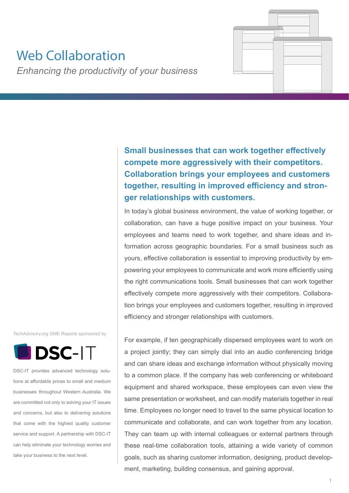# Web Collaboration

*Enhancing the productivity of your business*

**Small businesses that can work together effectively compete more aggressively with their competitors. Collaboration brings your employees and customers together, resulting in improved efficiency and stronger relationships with customers.**

In today's global business environment, the value of working together, or collaboration, can have a huge positive impact on your business. Your employees and teams need to work together, and share ideas and information across geographic boundaries. For a small business such as yours, effective collaboration is essential to improving productivity by empowering your employees to communicate and work more efficiently using the right communications tools. Small businesses that can work together effectively compete more aggressively with their competitors. Collaboration brings your employees and customers together, resulting in improved efficiency and stronger relationships with customers.

TechAdvisory.org SME Reports sponsored by



DSC-IT provides advanced technology solutions at affordable prices to small and medium businesses throughout Western Australia. We are committed not only to solving your IT issues and concerns, but also to delivering solutions that come with the highest quality customer service and support. A partnership with DSC-IT can help eliminate your technology worries and take your business to the next level.

For example, if ten geographically dispersed employees want to work on a project jointly; they can simply dial into an audio conferencing bridge and can share ideas and exchange information without physically moving to a common place. If the company has web conferencing or whiteboard equipment and shared workspace, these employees can even view the same presentation or worksheet, and can modify materials together in real time. Employees no longer need to travel to the same physical location to communicate and collaborate, and can work together from any location. They can team up with internal colleagues or external partners through these real-time collaboration tools, attaining a wide variety of common goals, such as sharing customer information, designing, product development, marketing, building consensus, and gaining approval.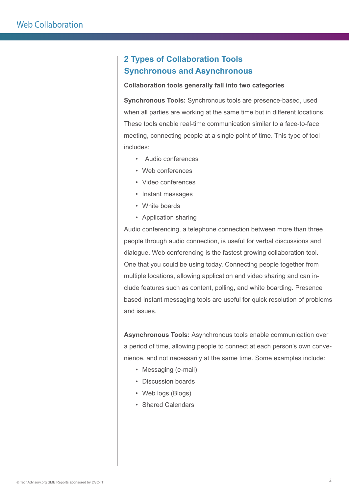# **2 Types of Collaboration Tools Synchronous and Asynchronous**

#### **Collaboration tools generally fall into two categories**

**Synchronous Tools:** Synchronous tools are presence-based, used when all parties are working at the same time but in different locations. These tools enable real-time communication similar to a face-to-face meeting, connecting people at a single point of time. This type of tool includes:

- Audio conferences
- Web conferences
- Video conferences
- Instant messages
- White boards
- Application sharing

Audio conferencing, a telephone connection between more than three people through audio connection, is useful for verbal discussions and dialogue. Web conferencing is the fastest growing collaboration tool. One that you could be using today. Connecting people together from multiple locations, allowing application and video sharing and can include features such as content, polling, and white boarding. Presence based instant messaging tools are useful for quick resolution of problems and issues.

**Asynchronous Tools:** Asynchronous tools enable communication over a period of time, allowing people to connect at each person's own convenience, and not necessarily at the same time. Some examples include:

- Messaging (e-mail)
- Discussion boards
- Web logs (Blogs)
- Shared Calendars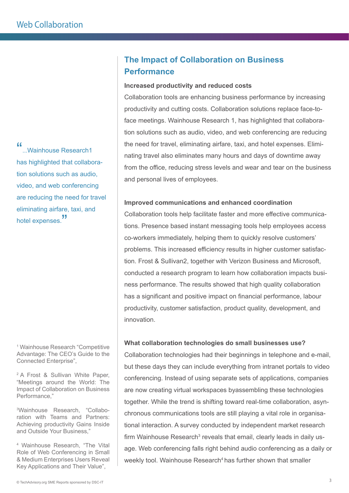"...<br>"...Wainhouse Research1... has highlighted that collaboration solutions such as audio, video, and web conferencing are reducing the need for travel eliminating airfare, taxi, and hotel expenses.<sup>"</sup>

1 Wainhouse Research "Competitive Advantage: The CEO's Guide to the Connected Enterprise",

2 A Frost & Sullivan White Paper, "Meetings around the World: The Impact of Collaboration on Business Performance,"

3 Wainhouse Research, "Collaboration with Teams and Partners: Achieving productivity Gains Inside and Outside Your Business,"

4 Wainhouse Research, "The Vital Role of Web Conferencing in Small & Medium Enterprises Users Reveal Key Applications and Their Value",

# **The Impact of Collaboration on Business Performance**

#### **Increased productivity and reduced costs**

Collaboration tools are enhancing business performance by increasing productivity and cutting costs. Collaboration solutions replace face-toface meetings. Wainhouse Research 1, has highlighted that collaboration solutions such as audio, video, and web conferencing are reducing the need for travel, eliminating airfare, taxi, and hotel expenses. Eliminating travel also eliminates many hours and days of downtime away from the office, reducing stress levels and wear and tear on the business and personal lives of employees.

#### **Improved communications and enhanced coordination**

Collaboration tools help facilitate faster and more effective communications. Presence based instant messaging tools help employees access co-workers immediately, helping them to quickly resolve customers' problems. This increased efficiency results in higher customer satisfaction. Frost & Sullivan2, together with Verizon Business and Microsoft, conducted a research program to learn how collaboration impacts business performance. The results showed that high quality collaboration has a significant and positive impact on financial performance, labour productivity, customer satisfaction, product quality, development, and innovation.

#### **What collaboration technologies do small businesses use?**

Collaboration technologies had their beginnings in telephone and e-mail, but these days they can include everything from intranet portals to video conferencing. Instead of using separate sets of applications, companies are now creating virtual workspaces byassembling these technologies together. While the trend is shifting toward real-time collaboration, asynchronous communications tools are still playing a vital role in organisational interaction. A survey conducted by independent market research firm Wainhouse Research<sup>3</sup> reveals that email, clearly leads in daily usage. Web conferencing falls right behind audio conferencing as a daily or weekly tool. Wainhouse Research<sup>4</sup> has further shown that smaller